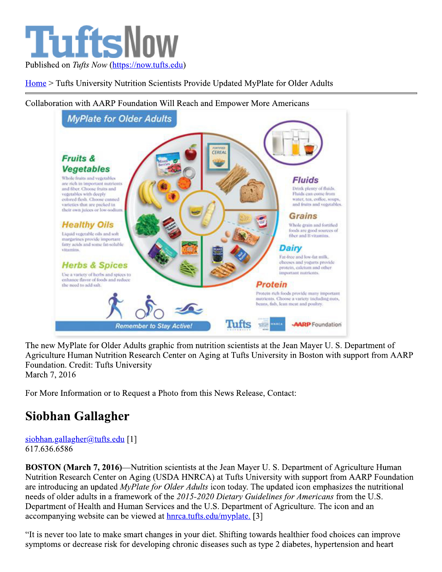

Home > Tufts University Nutrition Scientists Provide Updated MyPlate for Older Adults



Collaboration with AARP Foundation Will Reach and Empower More Americans

The new MyPlate for Older Adults graphic from nutrition scientists at the Jean Mayer U. S. Department of Agriculture Human Nutrition Research Center on Aging at Tufts University in Boston with support from AARP Foundation. Credit: Tufts University

March 7, 2016

For More Information or to Request a Photo from this News Release, Contact:

## Siobhan Gallagher

siobhan.gallagher@tufts.edu [1] 617.636.6586

**BOSTON (March 7, 2016)—Nutrition scientists at the Jean Mayer U. S. Department of Agriculture Human** Nutrition Research Center on Aging (USDA HNRCA) at Tufts University with support from AARP Foundation are introducing an updated *MyPlate for Older Adults* icon today. The updated icon emphasizes the nutritional needs of older adults in a framework of the 2015-2020 Dietary Guidelines for Americans from the U.S. Department of Health and Human Services and the U.S. Department of Agriculture. The icon and an accompanying website can be viewed at hnrca.tufts.edu/myplate. [3]

"It is never too late to make smart changes in your diet. Shifting towards healthier food choices can improve symptoms or decrease risk for developing chronic diseases such as type 2 diabetes, hypertension and heart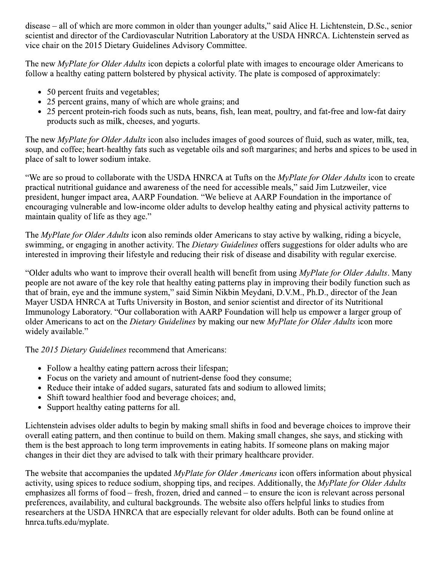disease – all of which are more common in older than younger adults," said Alice H. Lichtenstein, D.Sc., senior scientist and director of the Cardiovascular Nutrition Laboratory at the USDA HNRCA. Lichtenstein served as vice chair on the 2015 Dietary Guidelines Advisory Committee.

The new *MyPlate for Older Adults* icon depicts a colorful plate with images to encourage older Americans to follow a healthy eating pattern bolstered by physical activity. The plate is composed of approximately:

- 50 percent fruits and vegetables;
- 25 percent grains, many of which are whole grains; and
- 25 percent protein-rich foods such as nuts, beans, fish, lean meat, poultry, and fat-free and low-fat dairy products such as milk, cheeses, and yogurts.

The new *MyPlate for Older Adults* icon also includes images of good sources of fluid, such as water, milk, tea, soup, and coffee; heart-healthy fats such as vegetable oils and soft margarines; and herbs and spices to be used in place of salt to lower sodium intake.

"We are so proud to collaborate with the USDA HNRCA at Tufts on the *MyPlate for Older Adults* icon to create practical nutritional guidance and awareness of the need for accessible meals," said Jim Lutzweiler, vice president, hunger impact area, AARP Foundation. "We believe at AARP Foundation in the importance of encouraging vulnerable and low-income older adults to develop healthy eating and physical activity patterns to maintain quality of life as they age."

The MyPlate for Older Adults icon also reminds older Americans to stay active by walking, riding a bicycle, swimming, or engaging in another activity. The *Dietary Guidelines* offers suggestions for older adults who are interested in improving their lifestyle and reducing their risk of disease and disability with regular exercise.

"Older adults who want to improve their overall health will benefit from using *MyPlate for Older Adults*. Many people are not aware of the key role that healthy eating patterns play in improving their bodily function such as that of brain, eye and the immune system," said Simin Nikbin Meydani, D.V.M., Ph.D., director of the Jean Mayer USDA HNRCA at Tufts University in Boston, and senior scientist and director of its Nutritional Immunology Laboratory. "Our collaboration with AARP Foundation will help us empower a larger group of older Americans to act on the Dietary Guidelines by making our new MyPlate for Older Adults icon more widely available."

The 2015 Dietary Guidelines recommend that Americans:

- Follow a healthy eating pattern across their lifespan;
- Focus on the variety and amount of nutrient-dense food they consume;
- Reduce their intake of added sugars, saturated fats and sodium to allowed limits;
- Shift toward healthier food and beverage choices; and,
- Support healthy eating patterns for all.

Lichtenstein advises older adults to begin by making small shifts in food and beverage choices to improve their overall eating pattern, and then continue to build on them. Making small changes, she says, and sticking with them is the best approach to long term improvements in eating habits. If someone plans on making major changes in their diet they are advised to talk with their primary healthcare provider.

The website that accompanies the updated *MyPlate for Older Americans* icon offers information about physical activity, using spices to reduce sodium, shopping tips, and recipes. Additionally, the MyPlate for Older Adults emphasizes all forms of food  $-$  fresh, frozen, dried and canned  $-$  to ensure the icon is relevant across personal preferences, availability, and cultural backgrounds. The website also offers helpful links to studies from researchers at the USDA HNRCA that are especially relevant for older adults. Both can be found online at hnrca.tufts.edu/myplate.